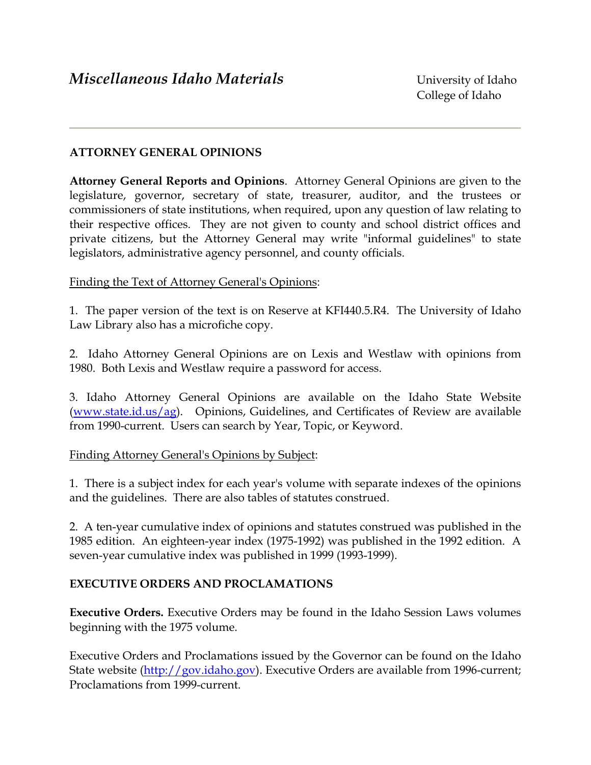# **ATTORNEY GENERAL OPINIONS**

**Attorney General Reports and Opinions**. Attorney General Opinions are given to the legislature, governor, secretary of state, treasurer, auditor, and the trustees or commissioners of state institutions, when required, upon any question of law relating to their respective offices. They are not given to county and school district offices and private citizens, but the Attorney General may write "informal guidelines" to state legislators, administrative agency personnel, and county officials.

### Finding the Text of Attorney General's Opinions:

1. The paper version of the text is on Reserve at KFI440.5.R4. The University of Idaho Law Library also has a microfiche copy.

2. Idaho Attorney General Opinions are on Lexis and Westlaw with opinions from 1980. Both Lexis and Westlaw require a password for access.

3. Idaho Attorney General Opinions are available on the Idaho State Website (www.state.id.us/ag). Opinions, Guidelines, and Certificates of Review are available from 1990-current. Users can search by Year, Topic, or Keyword.

#### Finding Attorney General's Opinions by Subject:

1. There is a subject index for each year's volume with separate indexes of the opinions and the guidelines. There are also tables of statutes construed.

2. A ten-year cumulative index of opinions and statutes construed was published in the 1985 edition. An eighteen-year index (1975-1992) was published in the 1992 edition. A seven-year cumulative index was published in 1999 (1993-1999).

### **EXECUTIVE ORDERS AND PROCLAMATIONS**

**Executive Orders.** Executive Orders may be found in the Idaho Session Laws volumes beginning with the 1975 volume.

Executive Orders and Proclamations issued by the Governor can be found on the Idaho State website (http://gov.idaho.gov). Executive Orders are available from 1996-current; Proclamations from 1999-current.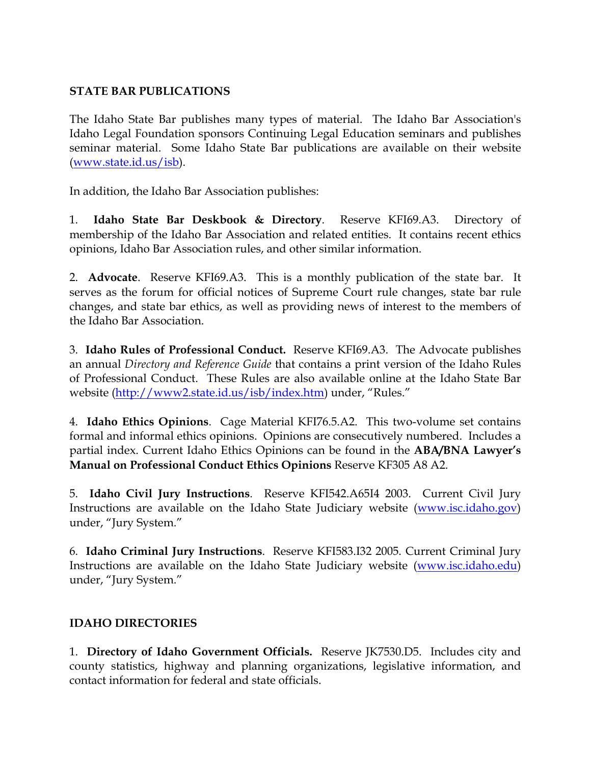# **STATE BAR PUBLICATIONS**

The Idaho State Bar publishes many types of material. The Idaho Bar Association's Idaho Legal Foundation sponsors Continuing Legal Education seminars and publishes seminar material. Some Idaho State Bar publications are available on their website (www.state.id.us/isb).

In addition, the Idaho Bar Association publishes:

1. **Idaho State Bar Deskbook & Directory**. Reserve KFI69.A3. Directory of membership of the Idaho Bar Association and related entities. It contains recent ethics opinions, Idaho Bar Association rules, and other similar information.

2. **Advocate**. Reserve KFI69.A3. This is a monthly publication of the state bar. It serves as the forum for official notices of Supreme Court rule changes, state bar rule changes, and state bar ethics, as well as providing news of interest to the members of the Idaho Bar Association.

3. **Idaho Rules of Professional Conduct.** Reserve KFI69.A3. The Advocate publishes an annual *Directory and Reference Guide* that contains a print version of the Idaho Rules of Professional Conduct. These Rules are also available online at the Idaho State Bar website (http://www2.state.id.us/isb/index.htm) under, "Rules."

4. **Idaho Ethics Opinions**. Cage Material KFI76.5.A2. This two-volume set contains formal and informal ethics opinions. Opinions are consecutively numbered. Includes a partial index. Current Idaho Ethics Opinions can be found in the **ABA/BNA Lawyer's Manual on Professional Conduct Ethics Opinions** Reserve KF305 A8 A2.

5. **Idaho Civil Jury Instructions**. Reserve KFI542.A65I4 2003. Current Civil Jury Instructions are available on the Idaho State Judiciary website (www.isc.idaho.gov) under, "Jury System."

6. **Idaho Criminal Jury Instructions**. Reserve KFI583.I32 2005. Current Criminal Jury Instructions are available on the Idaho State Judiciary website (www.isc.idaho.edu) under, "Jury System."

# **IDAHO DIRECTORIES**

1. **Directory of Idaho Government Officials.** Reserve JK7530.D5. Includes city and county statistics, highway and planning organizations, legislative information, and contact information for federal and state officials.